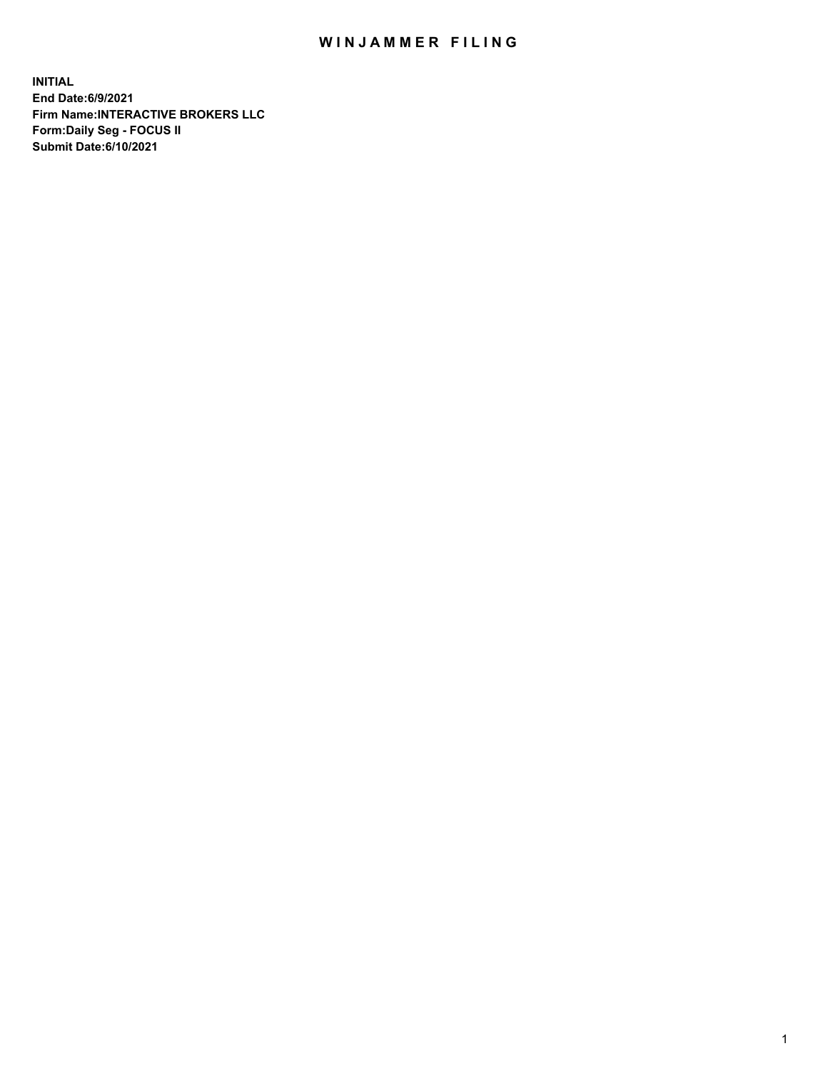## WIN JAMMER FILING

**INITIAL End Date:6/9/2021 Firm Name:INTERACTIVE BROKERS LLC Form:Daily Seg - FOCUS II Submit Date:6/10/2021**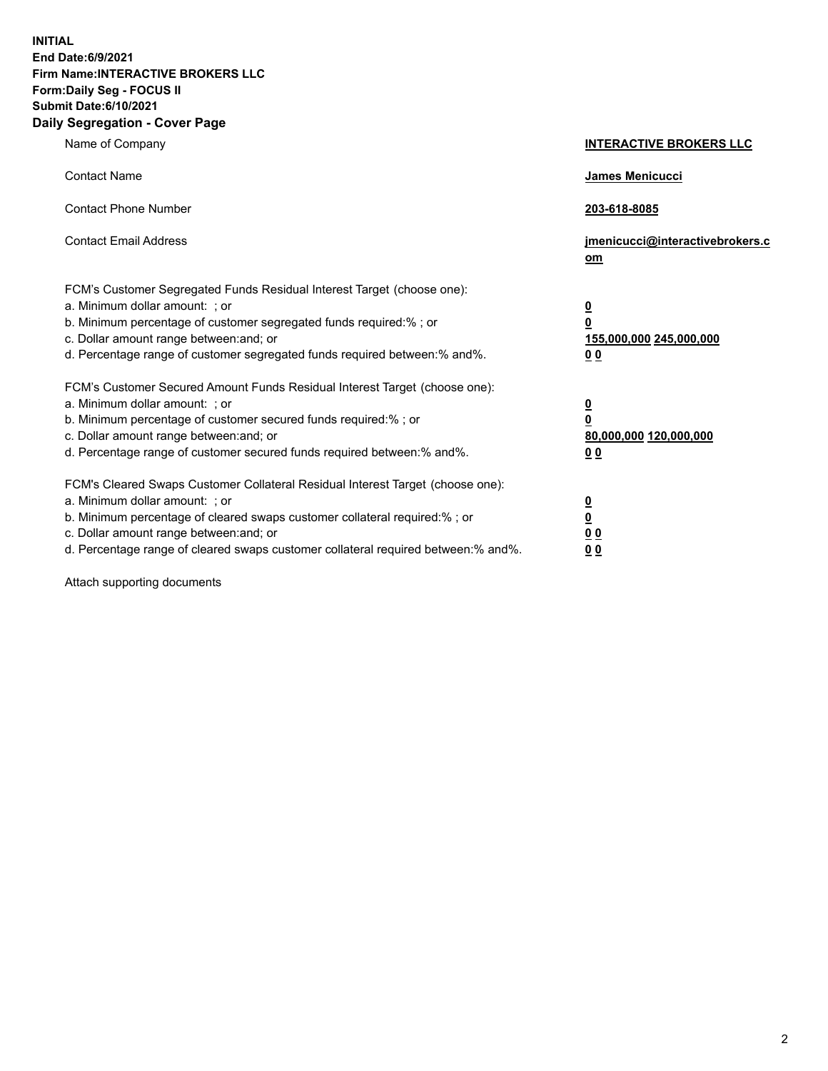**INITIAL End Date:6/9/2021 Firm Name:INTERACTIVE BROKERS LLC Form:Daily Seg - FOCUS II Submit Date:6/10/2021 Daily Segregation - Cover Page**

| Name of Company                                                                                                                                                                                                                                                                                                                | <b>INTERACTIVE BROKERS LLC</b>                                                                  |
|--------------------------------------------------------------------------------------------------------------------------------------------------------------------------------------------------------------------------------------------------------------------------------------------------------------------------------|-------------------------------------------------------------------------------------------------|
| <b>Contact Name</b>                                                                                                                                                                                                                                                                                                            | James Menicucci                                                                                 |
| <b>Contact Phone Number</b>                                                                                                                                                                                                                                                                                                    | 203-618-8085                                                                                    |
| <b>Contact Email Address</b>                                                                                                                                                                                                                                                                                                   | jmenicucci@interactivebrokers.c<br>$om$                                                         |
| FCM's Customer Segregated Funds Residual Interest Target (choose one):<br>a. Minimum dollar amount: ; or<br>b. Minimum percentage of customer segregated funds required:% ; or<br>c. Dollar amount range between: and; or<br>d. Percentage range of customer segregated funds required between:% and%.                         | $\overline{\mathbf{0}}$<br>$\overline{\mathbf{0}}$<br>155,000,000 245,000,000<br>0 <sub>0</sub> |
| FCM's Customer Secured Amount Funds Residual Interest Target (choose one):<br>a. Minimum dollar amount: ; or<br>b. Minimum percentage of customer secured funds required:%; or<br>c. Dollar amount range between: and; or<br>d. Percentage range of customer secured funds required between:% and%.                            | $\overline{\mathbf{0}}$<br>$\overline{\mathbf{0}}$<br>80,000,000 120,000,000<br>0 <sub>0</sub>  |
| FCM's Cleared Swaps Customer Collateral Residual Interest Target (choose one):<br>a. Minimum dollar amount: ; or<br>b. Minimum percentage of cleared swaps customer collateral required:% ; or<br>c. Dollar amount range between: and; or<br>d. Percentage range of cleared swaps customer collateral required between:% and%. | $\overline{\mathbf{0}}$<br><u>0</u><br>0 <sub>0</sub><br>0 <sub>0</sub>                         |

Attach supporting documents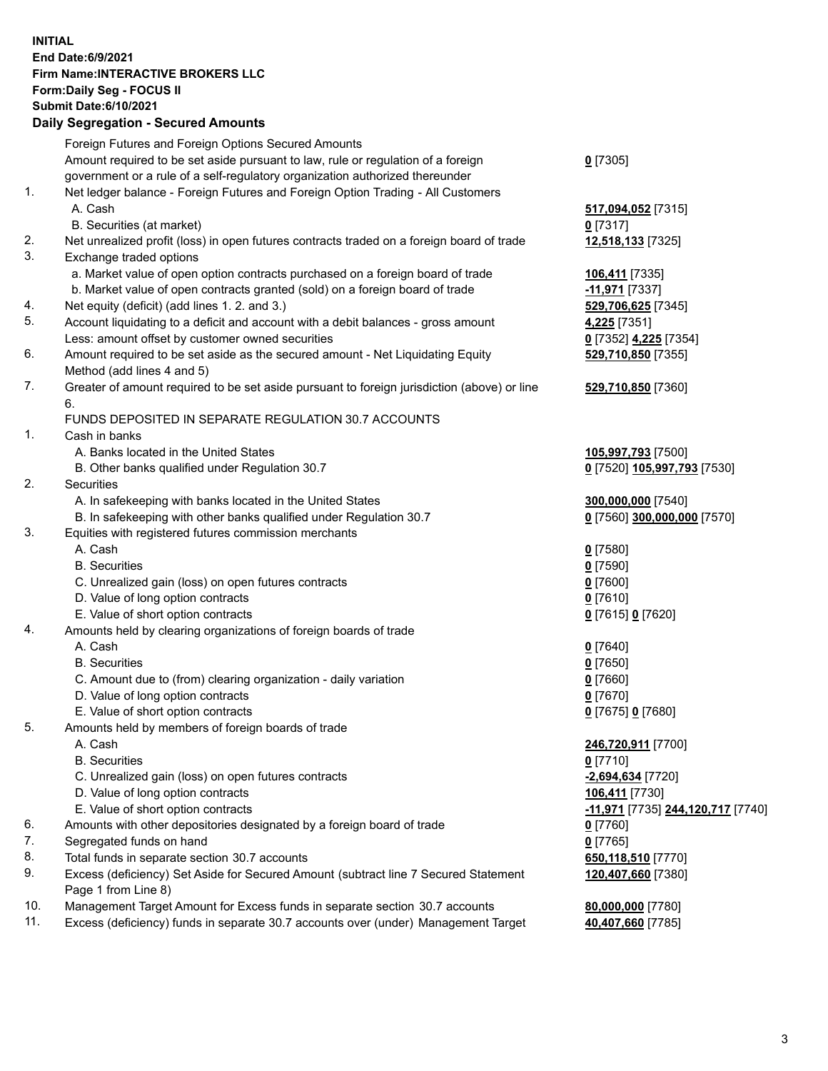## **INITIAL End Date:6/9/2021 Firm Name:INTERACTIVE BROKERS LLC Form:Daily Seg - FOCUS II Submit Date:6/10/2021 Daily Segregation - Secured Amounts**

|                | Daily Segregation - Secured Amounts                                                         |                                                       |
|----------------|---------------------------------------------------------------------------------------------|-------------------------------------------------------|
|                | Foreign Futures and Foreign Options Secured Amounts                                         |                                                       |
|                | Amount required to be set aside pursuant to law, rule or regulation of a foreign            | $0$ [7305]                                            |
|                | government or a rule of a self-regulatory organization authorized thereunder                |                                                       |
| $\mathbf{1}$ . | Net ledger balance - Foreign Futures and Foreign Option Trading - All Customers             |                                                       |
|                | A. Cash                                                                                     | 517,094,052 [7315]                                    |
|                | B. Securities (at market)                                                                   | $0$ [7317]                                            |
| 2.             | Net unrealized profit (loss) in open futures contracts traded on a foreign board of trade   | 12,518,133 [7325]                                     |
| 3.             | Exchange traded options                                                                     |                                                       |
|                | a. Market value of open option contracts purchased on a foreign board of trade              | 106,411 [7335]                                        |
|                | b. Market value of open contracts granted (sold) on a foreign board of trade                | -11,971 [7337]                                        |
| 4.             | Net equity (deficit) (add lines 1. 2. and 3.)                                               | 529,706,625 [7345]                                    |
| 5.             | Account liquidating to a deficit and account with a debit balances - gross amount           | 4,225 [7351]                                          |
|                | Less: amount offset by customer owned securities                                            | 0 [7352] 4,225 [7354]                                 |
| 6.             | Amount required to be set aside as the secured amount - Net Liquidating Equity              | 529,710,850 [7355]                                    |
|                | Method (add lines 4 and 5)                                                                  |                                                       |
| 7.             | Greater of amount required to be set aside pursuant to foreign jurisdiction (above) or line | 529,710,850 [7360]                                    |
|                | 6.                                                                                          |                                                       |
|                | FUNDS DEPOSITED IN SEPARATE REGULATION 30.7 ACCOUNTS                                        |                                                       |
| 1.             | Cash in banks                                                                               |                                                       |
|                | A. Banks located in the United States                                                       | 105,997,793 [7500]                                    |
|                | B. Other banks qualified under Regulation 30.7                                              | 0 [7520] 105,997,793 [7530]                           |
| 2.             | <b>Securities</b>                                                                           |                                                       |
|                | A. In safekeeping with banks located in the United States                                   | 300,000,000 [7540]                                    |
|                | B. In safekeeping with other banks qualified under Regulation 30.7                          | 0 [7560] 300,000,000 [7570]                           |
| 3.             | Equities with registered futures commission merchants                                       |                                                       |
|                | A. Cash                                                                                     | $0$ [7580]                                            |
|                | <b>B.</b> Securities                                                                        | $0$ [7590]                                            |
|                | C. Unrealized gain (loss) on open futures contracts                                         | $0$ [7600]                                            |
|                | D. Value of long option contracts                                                           | $0$ [7610]                                            |
|                | E. Value of short option contracts                                                          | 0 [7615] 0 [7620]                                     |
| 4.             | Amounts held by clearing organizations of foreign boards of trade<br>A. Cash                |                                                       |
|                | <b>B.</b> Securities                                                                        | $0$ [7640]<br>$0$ [7650]                              |
|                | C. Amount due to (from) clearing organization - daily variation                             | $0$ [7660]                                            |
|                | D. Value of long option contracts                                                           | $0$ [7670]                                            |
|                | E. Value of short option contracts                                                          | 0 [7675] 0 [7680]                                     |
| 5.             | Amounts held by members of foreign boards of trade                                          |                                                       |
|                | A. Cash                                                                                     | 246,720,911 [7700]                                    |
|                | <b>B.</b> Securities                                                                        | $0$ [7710]                                            |
|                | C. Unrealized gain (loss) on open futures contracts                                         | -2,694,634 [7720]                                     |
|                | D. Value of long option contracts                                                           | 106,411 [7730]                                        |
|                | E. Value of short option contracts                                                          | <mark>-11,971</mark> [7735] <b>244,120,717</b> [7740] |
| 6.             | Amounts with other depositories designated by a foreign board of trade                      | 0 [7760]                                              |
| 7.             | Segregated funds on hand                                                                    | $0$ [7765]                                            |
| 8.             | Total funds in separate section 30.7 accounts                                               | 650,118,510 [7770]                                    |
| 9.             | Excess (deficiency) Set Aside for Secured Amount (subtract line 7 Secured Statement         | 120,407,660 [7380]                                    |
|                | Page 1 from Line 8)                                                                         |                                                       |
| 10.            | Management Target Amount for Excess funds in separate section 30.7 accounts                 | 80,000,000 [7780]                                     |
| 11.            | Excess (deficiency) funds in separate 30.7 accounts over (under) Management Target          | 40,407,660 [7785]                                     |
|                |                                                                                             |                                                       |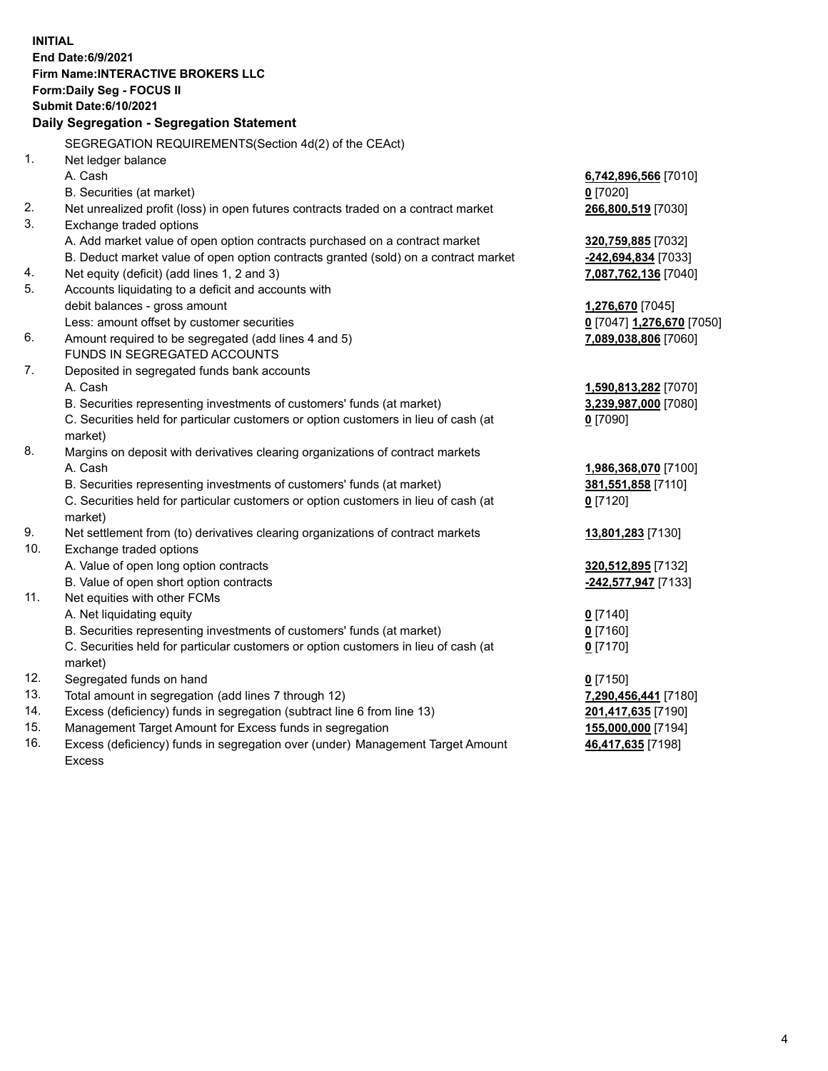**INITIAL End Date:6/9/2021 Firm Name:INTERACTIVE BROKERS LLC Form:Daily Seg - FOCUS II Submit Date:6/10/2021 Daily Segregation - Segregation Statement** SEGREGATION REQUIREMENTS(Section 4d(2) of the CEAct) 1. Net ledger balance A. Cash **6,742,896,566** [7010] B. Securities (at market) **0** [7020] 2. Net unrealized profit (loss) in open futures contracts traded on a contract market **266,800,519** [7030] 3. Exchange traded options A. Add market value of open option contracts purchased on a contract market **320,759,885** [7032] B. Deduct market value of open option contracts granted (sold) on a contract market **-242,694,834** [7033] 4. Net equity (deficit) (add lines 1, 2 and 3) **7,087,762,136** [7040] 5. Accounts liquidating to a deficit and accounts with debit balances - gross amount **1,276,670** [7045] Less: amount offset by customer securities **0** [7047] **1,276,670** [7050] 6. Amount required to be segregated (add lines 4 and 5) **7,089,038,806** [7060] FUNDS IN SEGREGATED ACCOUNTS 7. Deposited in segregated funds bank accounts A. Cash **1,590,813,282** [7070] B. Securities representing investments of customers' funds (at market) **3,239,987,000** [7080] C. Securities held for particular customers or option customers in lieu of cash (at market) **0** [7090] 8. Margins on deposit with derivatives clearing organizations of contract markets A. Cash **1,986,368,070** [7100] B. Securities representing investments of customers' funds (at market) **381,551,858** [7110] C. Securities held for particular customers or option customers in lieu of cash (at market) **0** [7120] 9. Net settlement from (to) derivatives clearing organizations of contract markets **13,801,283** [7130] 10. Exchange traded options A. Value of open long option contracts **320,512,895** [7132] B. Value of open short option contracts **-242,577,947** [7133] 11. Net equities with other FCMs A. Net liquidating equity **0** [7140] B. Securities representing investments of customers' funds (at market) **0** [7160] C. Securities held for particular customers or option customers in lieu of cash (at market) **0** [7170] 12. Segregated funds on hand **0** [7150] 13. Total amount in segregation (add lines 7 through 12) **7,290,456,441** [7180] 14. Excess (deficiency) funds in segregation (subtract line 6 from line 13) **201,417,635** [7190] 15. Management Target Amount for Excess funds in segregation **155,000,000** [7194] **46,417,635** [7198]

16. Excess (deficiency) funds in segregation over (under) Management Target Amount Excess